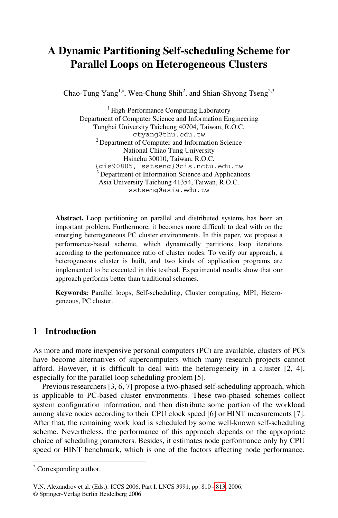# **A Dynamic Partitioning Self-scheduling Scheme for Parallel Loops on Heterogeneous Clusters**

Chao-Tung Yang<sup>1,\*</sup>, Wen-Chung Shih<sup>2</sup>, and Shian-Shyong Tseng<sup>2,3</sup>

<sup>1</sup> High-Performance Computing Laboratory Department of Computer Science and Information Engineering Tunghai University Taichung 40704, Taiwan, R.O.C. ctyang@thu.edu.tw 2 Department of Computer and Information Science National Chiao Tung University Hsinchu 30010, Taiwan, R.O.C. {gis90805, sstseng}@cis.nctu.edu.tw 3 Department of Information Science and Applications Asia University Taichung 41354, Taiwan, R.O.C. sstseng@asia.edu.tw

**Abstract.** Loop partitioning on parallel and distributed systems has been an important problem. Furthermore, it becomes more difficult to deal with on the emerging heterogeneous PC cluster environments. In this paper, we propose a performance-based scheme, which dynamically partitions loop iterations according to the performance ratio of cluster nodes. To verify our approach, a heterogeneous cluster is built, and two kinds of application programs are implemented to be executed in this testbed. Experimental results show that our approach performs better than traditional schemes.

**Keywords:** Parallel loops, Self-scheduling, Cluster computing, MPI, Heterogeneous, PC cluster.

## **1 Introduction**

As more and more inexpensive personal computers (PC) are available, clusters of PCs have become alternatives of supercomputers which many research projects cannot afford. However, it is difficult to deal with the heterogeneity in a cluster [2, 4], especially for the parallel loop scheduling problem [5].

Previous researchers [3, 6, 7] propose a two-phased self-scheduling approach, which is applicable to PC-based cluster environments. These two-phased schemes collect system configuration information, and then distribute some portion of the workload among slave nodes according to their [CP](#page-3-0)U clock speed [6] or HINT measurements [7]. After that, the remaining work load is scheduled by some well-known self-scheduling scheme. Nevertheless, the performance of this approach depends on the appropriate choice of scheduling parameters. Besides, it estimates node performance only by CPU speed or HINT benchmark, which is one of the factors affecting node performance.

j

<sup>\*</sup> Corresponding author.

V.N. Alexandrov et al. (Eds.): ICCS 2006, Part I, LNCS 3991, pp. 810 – 813, 2006.

<sup>©</sup> Springer-Verlag Berlin Heidelberg 2006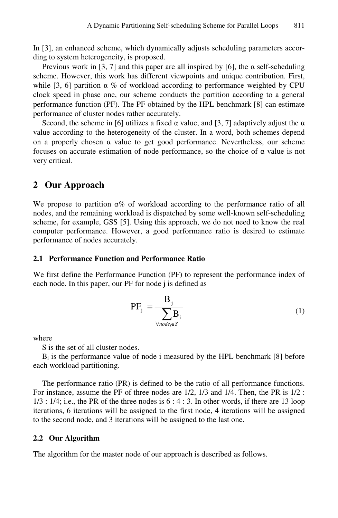In [3], an enhanced scheme, which dynamically adjusts scheduling parameters according to system heterogeneity, is proposed.

Previous work in [3, 7] and this paper are all inspired by [6], the  $\alpha$  self-scheduling scheme. However, this work has different viewpoints and unique contribution. First, while [3, 6] partition  $\alpha$  % of workload according to performance weighted by CPU clock speed in phase one, our scheme conducts the partition according to a general performance function (PF). The PF obtained by the HPL benchmark [8] can estimate performance of cluster nodes rather accurately.

Second, the scheme in [6] utilizes a fixed  $\alpha$  value, and [3, 7] adaptively adjust the  $\alpha$ value according to the heterogeneity of the cluster. In a word, both schemes depend on a properly chosen  $\alpha$  value to get good performance. Nevertheless, our scheme focuses on accurate estimation of node performance, so the choice of α value is not very critical.

### **2 Our Approach**

We propose to partition  $\alpha$ % of workload according to the performance ratio of all nodes, and the remaining workload is dispatched by some well-known self-scheduling scheme, for example, GSS [5]. Using this approach, we do not need to know the real computer performance. However, a good performance ratio is desired to estimate performance of nodes accurately.

### **2.1 Performance Function and Performance Ratio**

We first define the Performance Function (PF) to represent the performance index of each node. In this paper, our PF for node j is defined as

$$
PF_j = \frac{B_j}{\sum_{\forall node_i \in S} B_i}
$$
 (1)

where

S is the set of all cluster nodes.

Bi is the performance value of node i measured by the HPL benchmark [8] before each workload partitioning.

The performance ratio (PR) is defined to be the ratio of all performance functions. For instance, assume the PF of three nodes are 1/2, 1/3 and 1/4. Then, the PR is 1/2 :  $1/3$ :  $1/4$ ; i.e., the PR of the three nodes is  $6:4:3$ . In other words, if there are 13 loop iterations, 6 iterations will be assigned to the first node, 4 iterations will be assigned to the second node, and 3 iterations will be assigned to the last one.

#### **2.2 Our Algorithm**

The algorithm for the master node of our approach is described as follows.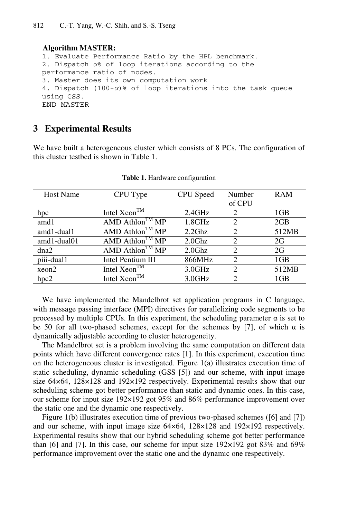### **Algorithm MASTER:**

```
1. Evaluate Performance Ratio by the HPL benchmark. 
2. Dispatch α% of loop iterations according to the 
performance ratio of nodes. 
3. Master does its own computation work 
4. Dispatch (100-α)% of loop iterations into the task queue 
using GSS. 
END MASTER
```
### **3 Experimental Results**

We have built a heterogeneous cluster which consists of 8 PCs. The configuration of this cluster testbed is shown in Table 1.

| <b>Host Name</b> | CPU Type                                 | CPU Speed | Number         | <b>RAM</b> |
|------------------|------------------------------------------|-----------|----------------|------------|
|                  |                                          |           | of CPU         |            |
| hpc              | Intel Xeon <sup>TM</sup>                 | 2.4GHz    | 2              | 1GB        |
| amd1             | AMD Athlon <sup>TM</sup> $\overline{MP}$ | $1.8$ GHz | $\mathfrak{D}$ | 2GB        |
| amd1-dual1       | AMD Athlon <sup>TM</sup> $MP$            | 2.2Ghz    | 2              | 512MB      |
| amd1-dual01      | AMD Athlon <sup>TM</sup> $\overline{MP}$ | $2.0$ Ghz | $\mathfrak{D}$ | 2G         |
| dna2             | AMD Athlon <sup>TM</sup> $\overline{MP}$ | $2.0$ Ghz | $\mathfrak{D}$ | 2G         |
| piii-dual1       | Intel Pentium III                        | 866MHz    | $\mathfrak{D}$ | 1GB        |
| xeon2            | Intel Xeon $^{TM}$                       | 3.0GHz    | $\mathfrak{D}$ | 512MB      |
| hpc2             | Intel $XeonTM$                           | 3.0GHz    | $\mathcal{D}$  | 1GB        |

**Table 1.** Hardware configuration

We have implemented the Mandelbrot set application programs in C language, with message passing interface (MPI) directives for parallelizing code segments to be processed by multiple CPUs. In this experiment, the scheduling parameter α is set to be 50 for all two-phased schemes, except for the schemes by [7], of which  $\alpha$  is dynamically adjustable according to cluster heterogeneity.

The Mandelbrot set is a problem involving the same computation on different data points which have different convergence rates [1]. In this experiment, execution time on the heterogeneous cluster is investigated. Figure 1(a) illustrates execution time of static scheduling, dynamic scheduling (GSS [5]) and our scheme, with input image size 64×64, 128×128 and 192×192 respectively. Experimental results show that our scheduling scheme got better performance than static and dynamic ones. In this case, our scheme for input size 192×192 got 95% and 86% performance improvement over the static one and the dynamic one respectively.

Figure 1(b) illustrates execution time of previous two-phased schemes ([6] and [7]) and our scheme, with input image size 64×64, 128×128 and 192×192 respectively. Experimental results show that our hybrid scheduling scheme got better performance than [6] and [7]. In this case, our scheme for input size  $192\times192$  got 83% and 69% performance improvement over the static one and the dynamic one respectively.